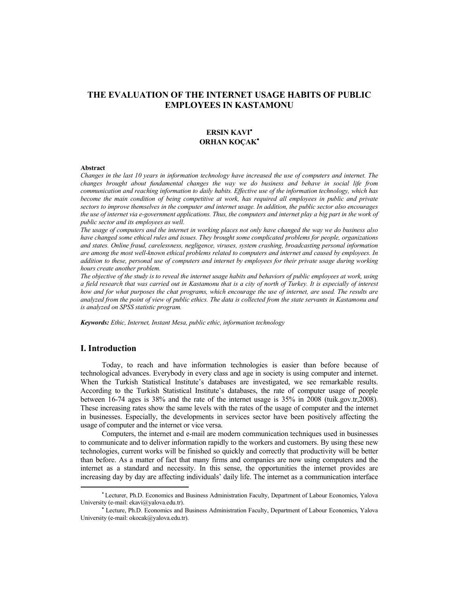# **THE EVALUATION OF THE INTERNET USAGE HABITS OF PUBLIC EMPLOYEES IN KASTAMONU**

## **ERSIN KAVI ORHAN KOÇAK**

#### **Abstract**

*Changes in the last 10 years in information technology have increased the use of computers and internet. The changes brought about fundamental changes the way we do business and behave in social life from communication and reaching information to daily habits. Effective use of the information technology, which has*  become the main condition of being competitive at work, has required all employees in public and private *sectors to improve themselves in the computer and internet usage. In addition, the public sector also encourages the use of internet via e-government applications. Thus, the computers and internet play a big part in the work of public sector and its employees as well.* 

*The usage of computers and the internet in working places not only have changed the way we do business also have changed some ethical rules and issues. They brought some complicated problems for people, organizations and states. Online fraud, carelessness, negligence, viruses, system crashing, broadcasting personal information are among the most well-known ethical problems related to computers and internet and caused by employees. In addition to these, personal use of computers and internet by employees for their private usage during working hours create another problem.* 

*The objective of the study is to reveal the internet usage habits and behaviors of public employees at work, using a field research that was carried out in Kastamonu that is a city of north of Turkey. It is especially of interest how and for what purposes the chat programs, which encourage the use of internet, are used. The results are analyzed from the point of view of public ethics. The data is collected from the state servants in Kastamonu and is analyzed on SPSS statistic program.* 

*Keywords: Ethic, Internet, Instant Mesa, public ethic, information technology* 

## **I. Introduction**

Today, to reach and have information technologies is easier than before because of technological advances. Everybody in every class and age in society is using computer and internet. When the Turkish Statistical Institute's databases are investigated, we see remarkable results. According to the Turkish Statistical Institute's databases, the rate of computer usage of people between 16-74 ages is 38% and the rate of the internet usage is 35% in 2008 (tuik.gov.tr,2008). These increasing rates show the same levels with the rates of the usage of computer and the internet in businesses. Especially, the developments in services sector have been positively affecting the usage of computer and the internet or vice versa.

Computers, the internet and e-mail are modern communication techniques used in businesses to communicate and to deliver information rapidly to the workers and customers. By using these new technologies, current works will be finished so quickly and correctly that productivity will be better than before. As a matter of fact that many firms and companies are now using computers and the internet as a standard and necessity. In this sense, the opportunities the internet provides are increasing day by day are affecting individuals' daily life. The internet as a communication interface

Lecturer, Ph.D. Economics and Business Administration Faculty, Department of Labour Economics, Yalova University (e-mail: ekavi@yalova.edu.tr).

Lecture, Ph.D. Economics and Business Administration Faculty, Department of Labour Economics, Yalova University (e-mail: okocak@yalova.edu.tr).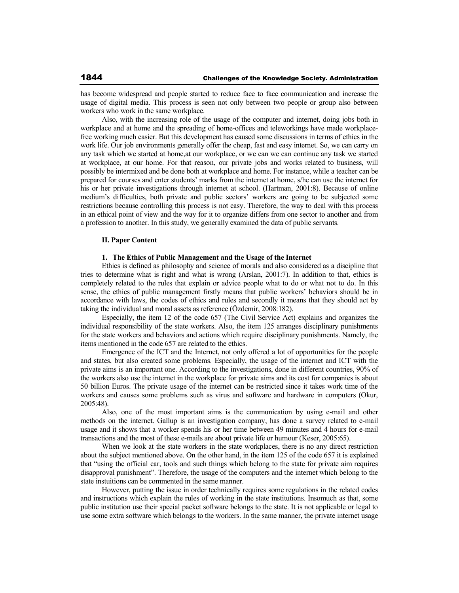has become widespread and people started to reduce face to face communication and increase the usage of digital media. This process is seen not only between two people or group also between workers who work in the same workplace.

Also, with the increasing role of the usage of the computer and internet, doing jobs both in workplace and at home and the spreading of home-offices and teleworkings have made workplacefree working much easier. But this development has caused some discussions in terms of ethics in the work life. Our job environments generally offer the cheap, fast and easy internet. So, we can carry on any task which we started at home, at our workplace, or we can we can continue any task we started at workplace, at our home. For that reason, our private jobs and works related to business, will possibly be intermixed and be done both at workplace and home. For instance, while a teacher can be prepared for courses and enter students' marks from the internet at home, s/he can use the internet for his or her private investigations through internet at school. (Hartman, 2001:8). Because of online medium's difficulties, both private and public sectors' workers are going to be subjected some restrictions because controlling this process is not easy. Therefore, the way to deal with this process in an ethical point of view and the way for it to organize differs from one sector to another and from a profession to another. In this study, we generally examined the data of public servants.

## **II. Paper Content**

#### **1. The Ethics of Public Management and the Usage of the Internet**

Ethics is defined as philosophy and science of morals and also considered as a discipline that tries to determine what is right and what is wrong (Arslan, 2001:7). In addition to that, ethics is completely related to the rules that explain or advice people what to do or what not to do. In this sense, the ethics of public management firstly means that public workers' behaviors should be in accordance with laws, the codes of ethics and rules and secondly it means that they should act by taking the individual and moral assets as reference (Özdemir, 2008:182).

Especially, the item 12 of the code 657 (The Civil Service Act) explains and organizes the individual responsibility of the state workers. Also, the item 125 arranges disciplinary punishments for the state workers and behaviors and actions which require disciplinary punishments. Namely, the items mentioned in the code 657 are related to the ethics.

Emergence of the ICT and the Internet, not only offered a lot of opportunities for the people and states, but also created some problems. Especially, the usage of the internet and ICT with the private aims is an important one. According to the investigations, done in different countries, 90% of the workers also use the internet in the workplace for private aims and its cost for companies is about 50 billion Euros. The private usage of the internet can be restricted since it takes work time of the workers and causes some problems such as virus and software and hardware in computers (Okur, 2005:48).

Also, one of the most important aims is the communication by using e-mail and other methods on the internet. Gallup is an investigation company, has done a survey related to e-mail usage and it shows that a worker spends his or her time between 49 minutes and 4 hours for e-mail transactions and the most of these e-mails are about private life or humour (Keser, 2005:65).

When we look at the state workers in the state workplaces, there is no any direct restriction about the subject mentioned above. On the other hand, in the item 125 of the code 657 it is explained that "using the official car, tools and such things which belong to the state for private aim requires disapproval punishment". Therefore, the usage of the computers and the internet which belong to the state instuitions can be commented in the same manner.

However, putting the issue in order technically requires some regulations in the related codes and instructions which explain the rules of working in the state institutions. Insomuch as that, some public institution use their special packet software belongs to the state. It is not applicable or legal to use some extra software which belongs to the workers. In the same manner, the private internet usage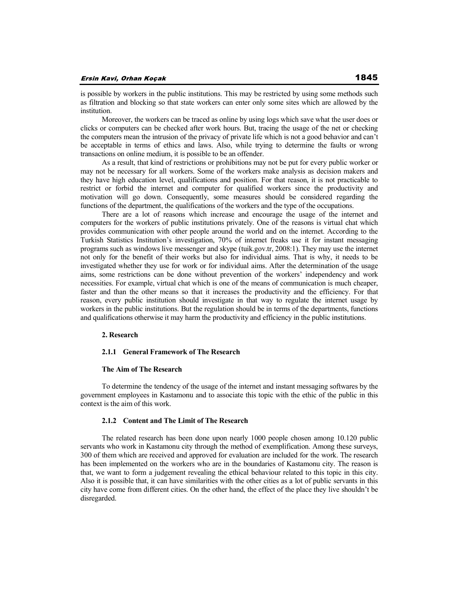is possible by workers in the public institutions. This may be restricted by using some methods such as filtration and blocking so that state workers can enter only some sites which are allowed by the institution.

Moreover, the workers can be traced as online by using logs which save what the user does or clicks or computers can be checked after work hours. But, tracing the usage of the net or checking the computers mean the intrusion of the privacy of private life which is not a good behavior and can't be acceptable in terms of ethics and laws. Also, while trying to determine the faults or wrong transactions on online medium, it is possible to be an offender.

As a result, that kind of restrictions or prohibitions may not be put for every public worker or may not be necessary for all workers. Some of the workers make analysis as decision makers and they have high education level, qualifications and position. For that reason, it is not practicable to restrict or forbid the internet and computer for qualified workers since the productivity and motivation will go down. Consequently, some measures should be considered regarding the functions of the department, the qualifications of the workers and the type of the occupations.

There are a lot of reasons which increase and encourage the usage of the internet and computers for the workers of public institutions privately. One of the reasons is virtual chat which provides communication with other people around the world and on the internet. According to the Turkish Statistics Institution's investigation, 70% of internet freaks use it for instant messaging programs such as windows live messenger and skype (tuik.gov.tr, 2008:1). They may use the internet not only for the benefit of their works but also for individual aims. That is why, it needs to be investigated whether they use for work or for individual aims. After the determination of the usage aims, some restrictions can be done without prevention of the workers' independency and work necessities. For example, virtual chat which is one of the means of communication is much cheaper, faster and than the other means so that it increases the productivity and the efficiency. For that reason, every public institution should investigate in that way to regulate the internet usage by workers in the public institutions. But the regulation should be in terms of the departments, functions and qualifications otherwise it may harm the productivity and efficiency in the public institutions.

#### **2. Research**

#### **2.1.1 General Framework of The Research**

## **The Aim of The Research**

To determine the tendency of the usage of the internet and instant messaging softwares by the government employees in Kastamonu and to associate this topic with the ethic of the public in this context is the aim of this work.

#### **2.1.2 Content and The Limit of The Research**

The related research has been done upon nearly 1000 people chosen among 10.120 public servants who work in Kastamonu city through the method of exemplification. Among these surveys, 300 of them which are received and approved for evaluation are included for the work. The research has been implemented on the workers who are in the boundaries of Kastamonu city. The reason is that, we want to form a judgement revealing the ethical behaviour related to this topic in this city. Also it is possible that, it can have similarities with the other cities as a lot of public servants in this city have come from different cities. On the other hand, the effect of the place they live shouldn't be disregarded.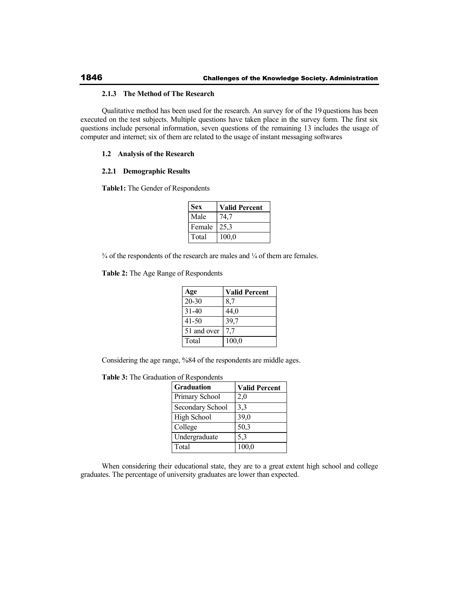## **2.1.3 The Method of The Research**

Qualitative method has been used for the research. An survey for of the 19 questions has been executed on the test subjects. Multiple questions have taken place in the survey form. The first six questions include personal information, seven questions of the remaining 13 includes the usage of computer and internet; six of them are related to the usage of instant messaging softwares

## **1.2 Analysis of the Research**

## **2.2.1 Demographic Results**

**Table1:** The Gender of Respondents

| <b>Sex</b> | <b>Valid Percent</b> |
|------------|----------------------|
| Male       | 74,7                 |
| Female     | 25,3                 |
| Total      | 100,0                |

 $\frac{3}{4}$  of the respondents of the research are males and  $\frac{1}{4}$  of them are females.

**Table 2:** The Age Range of Respondents

| Age         | <b>Valid Percent</b> |
|-------------|----------------------|
| $20 - 30$   | 8,7                  |
| $31 - 40$   | 44,0                 |
| $41 - 50$   | 39,7                 |
| 51 and over | 77                   |
| Total       | 100,0                |

Considering the age range, %84 of the respondents are middle ages.

**Table 3:** The Graduation of Respondents

| <b>Graduation</b>       | <b>Valid Percent</b> |
|-------------------------|----------------------|
| Primary School          | 2,0                  |
| <b>Secondary School</b> | 3,3                  |
| High School             | 39,0                 |
| College                 | 50,3                 |
| Undergraduate           | 5,3                  |
| Total                   | 100,0                |

When considering their educational state, they are to a great extent high school and college graduates. The percentage of university graduates are lower than expected.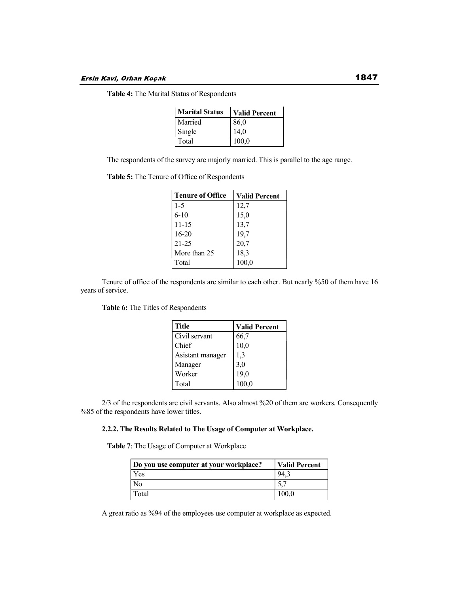**Table 4:** The Marital Status of Respondents

| <b>Marital Status</b> | <b>Valid Percent</b> |
|-----------------------|----------------------|
| Married               | 86,0                 |
| Single                | 14,0                 |
| Total                 | 100,0                |

The respondents of the survey are majorly married. This is parallel to the age range.

**Table 5:** The Tenure of Office of Respondents

| <b>Tenure of Office</b> | <b>Valid Percent</b> |
|-------------------------|----------------------|
| 1-5                     | 12,7                 |
| $6 - 10$                | 15,0                 |
| $11 - 15$               | 13,7                 |
| $16 - 20$               | 19,7                 |
| $21 - 25$               | 20,7                 |
| More than 25            | 18,3                 |
| Total                   | 100,0                |

Tenure of office of the respondents are similar to each other. But nearly %50 of them have 16 years of service.

**Table 6:** The Titles of Respondents

| <b>Title</b>     | <b>Valid Percent</b> |
|------------------|----------------------|
| Civil servant    | 66,7                 |
| Chief            | 10,0                 |
| Asistant manager | 1,3                  |
| Manager          | 3,0                  |
| Worker           | 19,0                 |
| Total            | 100,0                |

2/3 of the respondents are civil servants. Also almost %20 of them are workers. Consequently %85 of the respondents have lower titles.

## **2.2.2. The Results Related to The Usage of Computer at Workplace.**

**Table 7**: The Usage of Computer at Workplace

| Do you use computer at your workplace? | <b>Valid Percent</b> |
|----------------------------------------|----------------------|
| Yes                                    | 94.3                 |
| N <sub>0</sub>                         |                      |
| Total                                  | 100,0                |

A great ratio as %94 of the employees use computer at workplace as expected.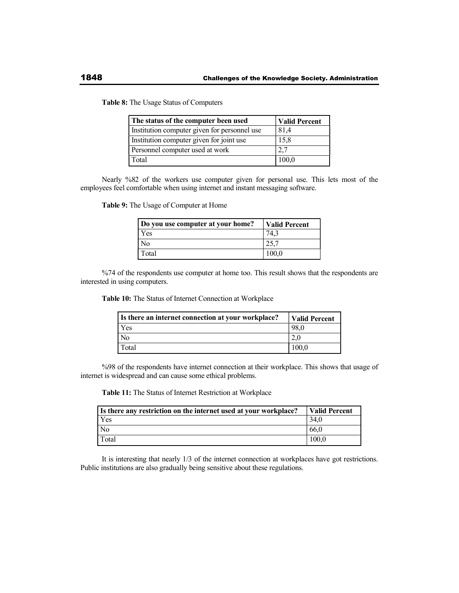**Table 8:** The Usage Status of Computers

| The status of the computer been used         | <b>Valid Percent</b> |
|----------------------------------------------|----------------------|
| Institution computer given for personnel use | 81,4                 |
| Institution computer given for joint use     | 15,8                 |
| Personnel computer used at work              | 2,7                  |
| Total                                        | 100,0                |

Nearly %82 of the workers use computer given for personal use. This lets most of the employees feel comfortable when using internet and instant messaging software.

**Table 9:** The Usage of Computer at Home

| Do you use computer at your home? | <b>Valid Percent</b> |
|-----------------------------------|----------------------|
| Yes                               |                      |
| Nо                                |                      |
| Total                             |                      |

%74 of the respondents use computer at home too. This result shows that the respondents are interested in using computers.

**Table 10:** The Status of Internet Connection at Workplace

| Is there an internet connection at your workplace? | <b>Valid Percent</b> |
|----------------------------------------------------|----------------------|
| l Yes                                              | 98.0                 |
| No                                                 |                      |
| Total                                              | 100.0                |

%98 of the respondents have internet connection at their workplace. This shows that usage of internet is widespread and can cause some ethical problems.

**Table 11:** The Status of Internet Restriction at Workplace

| Is there any restriction on the internet used at your workplace? | Valid Percent |
|------------------------------------------------------------------|---------------|
| Yes                                                              | 34.6          |
| No                                                               | 66.0          |
| Total                                                            | 100.0         |

It is interesting that nearly 1/3 of the internet connection at workplaces have got restrictions. Public institutions are also gradually being sensitive about these regulations.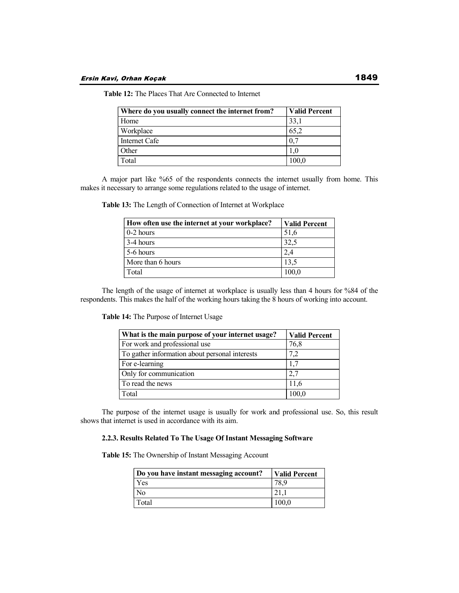| Where do you usually connect the internet from? | <b>Valid Percent</b> |
|-------------------------------------------------|----------------------|
| Home                                            | 33,1                 |
| Workplace                                       | 65,2                 |
| Internet Cafe                                   | $\mathbf{0}$         |
| Other                                           |                      |
| Total                                           | 100,0                |

 **Table 12:** The Places That Are Connected to Internet

A major part like %65 of the respondents connects the internet usually from home. This makes it necessary to arrange some regulations related to the usage of internet.

|  |  |  | Table 13: The Length of Connection of Internet at Workplace |
|--|--|--|-------------------------------------------------------------|
|  |  |  |                                                             |

| How often use the internet at your workplace? | <b>Valid Percent</b> |
|-----------------------------------------------|----------------------|
| $\sqrt{0-2}$ hours                            | 51.6                 |
| $3-4$ hours                                   | 32,5                 |
| 5-6 hours                                     | 2,4                  |
| More than 6 hours                             | 13,5                 |
| Total                                         | 100,0                |

The length of the usage of internet at workplace is usually less than 4 hours for %84 of the respondents. This makes the half of the working hours taking the 8 hours of working into account.

**Table 14:** The Purpose of Internet Usage

| What is the main purpose of your internet usage? | <b>Valid Percent</b> |
|--------------------------------------------------|----------------------|
| For work and professional use                    | 76,8                 |
| To gather information about personal interests   | 7,2                  |
| For e-learning                                   | 1,7                  |
| Only for communication                           | 2,7                  |
| To read the news                                 | 11,6                 |
| Total                                            | 100,0                |

The purpose of the internet usage is usually for work and professional use. So, this result shows that internet is used in accordance with its aim.

## **2.2.3. Results Related To The Usage Of Instant Messaging Software**

**Table 15:** The Ownership of Instant Messaging Account

| Do you have instant messaging account? | <b>Valid Percent</b> |
|----------------------------------------|----------------------|
| Yes                                    |                      |
| N <sub>0</sub>                         |                      |
| Total                                  | 100.0                |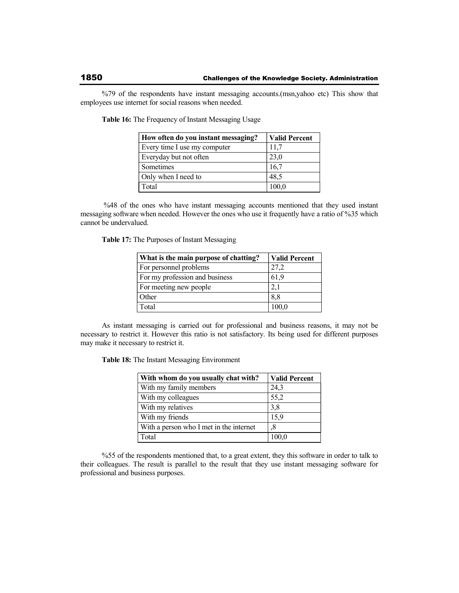%79 of the respondents have instant messaging accounts.(msn,yahoo etc) This show that employees use internet for social reasons when needed.

| How often do you instant messaging? | <b>Valid Percent</b> |
|-------------------------------------|----------------------|
| Every time I use my computer        | 11,7                 |
| Everyday but not often              | 23,0                 |
| Sometimes                           | 16,7                 |
| Only when I need to                 | 48.5                 |
| Total                               | 100,0                |

**Table 16:** The Frequency of Instant Messaging Usage

 %48 of the ones who have instant messaging accounts mentioned that they used instant messaging software when needed. However the ones who use it frequently have a ratio of %35 which cannot be undervalued.

**Table 17:** The Purposes of Instant Messaging

| What is the main purpose of chatting? | <b>Valid Percent</b> |
|---------------------------------------|----------------------|
| For personnel problems                | 27,2                 |
| For my profession and business        | 61,9                 |
| For meeting new people                | 2,1                  |
| Other                                 | 8,8                  |
| Total                                 | 100,0                |

As instant messaging is carried out for professional and business reasons, it may not be necessary to restrict it. However this ratio is not satisfactory. Its being used for different purposes may make it necessary to restrict it.

**Table 18:** The Instant Messaging Environment

| With whom do you usually chat with?     | <b>Valid Percent</b> |
|-----------------------------------------|----------------------|
| With my family members                  | 24,3                 |
| With my colleagues                      | 55,2                 |
| With my relatives                       | 3,8                  |
| With my friends                         | 15,9                 |
| With a person who I met in the internet | .8                   |
| Total                                   | 100,0                |

%55 of the respondents mentioned that, to a great extent, they this software in order to talk to their colleagues. The result is parallel to the result that they use instant messaging software for professional and business purposes.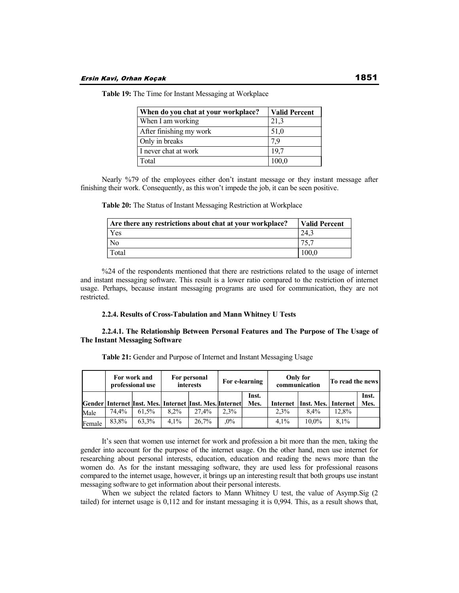| When do you chat at your workplace? | <b>Valid Percent</b> |
|-------------------------------------|----------------------|
| When I am working                   | 21,3                 |
| After finishing my work             | 51,0                 |
| Only in breaks                      | 7.9                  |
| I never chat at work                | 19.7                 |
| Total                               | 100,0                |

**Table 19:** The Time for Instant Messaging at Workplace

Nearly %79 of the employees either don't instant message or they instant message after finishing their work. Consequently, as this won't impede the job, it can be seen positive.

**Table 20:** The Status of Instant Messaging Restriction at Workplace

| Are there any restrictions about chat at your workplace? | Valid Percent |
|----------------------------------------------------------|---------------|
| Yes                                                      | 24.3          |
| N <sub>o</sub>                                           | .75.7         |
| Total                                                    | 100.0         |

%24 of the respondents mentioned that there are restrictions related to the usage of internet and instant messaging software. This result is a lower ratio compared to the restriction of internet usage. Perhaps, because instant messaging programs are used for communication, they are not restricted.

## **2.2.4. Results of Cross-Tabulation and Mann Whitney U Tests**

## **2.2.4.1. The Relationship Between Personal Features and The Purpose of The Usage of The Instant Messaging Software**

|        | For work and<br>professional use |       | For personal<br>interests |                                                                   | For e-learning |               |          | Only for<br>communication | To read the news |               |
|--------|----------------------------------|-------|---------------------------|-------------------------------------------------------------------|----------------|---------------|----------|---------------------------|------------------|---------------|
|        |                                  |       |                           | Gender   Internet   Inst. Mes.   Internet   Inst. Mes.   Internet |                | Inst.<br>Mes. | Internet | Inst. Mes. Internet       |                  | Inst.<br>Mes. |
| Male   | 74.4%                            | 61.5% | $8.2\%$                   | 27.4%                                                             | 2.3%           |               | 2.3%     | 8.4%                      | 12,8%            |               |
| Female | 83.8%                            | 63.3% | $4.1\%$                   | 26.7%                                                             | $.0\%$         |               | $4.1\%$  | $10.0\%$                  | 8.1%             |               |

**Table 21:** Gender and Purpose of Internet and Instant Messaging Usage

It's seen that women use internet for work and profession a bit more than the men, taking the gender into account for the purpose of the internet usage. On the other hand, men use internet for researching about personal interests, education, education and reading the news more than the women do. As for the instant messaging software, they are used less for professional reasons compared to the internet usage, however, it brings up an interesting result that both groups use instant messaging software to get information about their personal interests.

When we subject the related factors to Mann Whitney U test, the value of Asymp.Sig (2 tailed) for internet usage is 0,112 and for instant messaging it is 0,994. This, as a result shows that,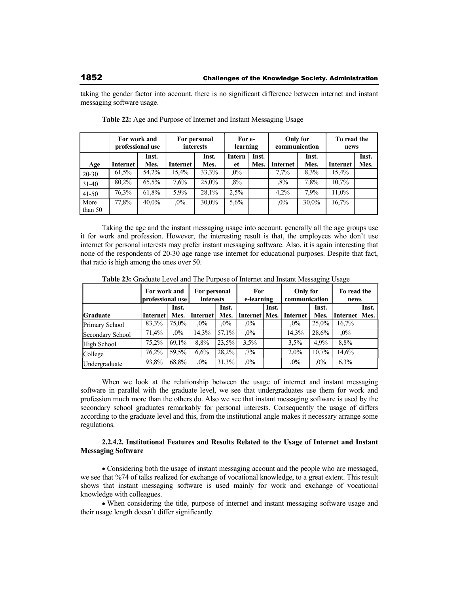taking the gender factor into account, there is no significant difference between internet and instant messaging software usage.

|           | For work and<br>professional use |          |          | For personal<br>interests | For e-<br>learning |       | Only for<br>communication |       | To read the<br>news |       |
|-----------|----------------------------------|----------|----------|---------------------------|--------------------|-------|---------------------------|-------|---------------------|-------|
|           |                                  | Inst.    |          | Inst.                     | Intern             | Inst. |                           | Inst. |                     | Inst. |
| Age       | Internet                         | Mes.     | Internet | Mes.                      | et                 | Mes.  | Internet                  | Mes.  | Internet            | Mes.  |
| $20 - 30$ | 61.5%                            | 54,2%    | 15,4%    | 33,3%                     | $,0\%$             |       | $7.7\%$                   | 8.3%  | 15,4%               |       |
| $31 - 40$ | 80,2%                            | 65,5%    | 7.6%     | 25,0%                     | ,8%                |       | $.8\%$                    | 7,8%  | $10.7\%$            |       |
| $41 - 50$ | 76,3%                            | 61,8%    | 5,9%     | 28,1%                     | 2.5%               |       | 4.2%                      | 7.9%  | 11,0%               |       |
| More      | 77,8%                            | $40.0\%$ | $.0\%$   | 30,0%                     | $5.6\%$            |       | $.0\%$                    | 30,0% | 16,7%               |       |
| than 50   |                                  |          |          |                           |                    |       |                           |       |                     |       |

**Table 22:** Age and Purpose of Internet and Instant Messaging Usage

Taking the age and the instant messaging usage into account, generally all the age groups use it for work and profession. However, the interesting result is that, the employees who don't use internet for personal interests may prefer instant messaging software. Also, it is again interesting that none of the respondents of 20-30 age range use internet for educational purposes. Despite that fact, that ratio is high among the ones over 50.

|                  | For work and<br> professional use |               | For personal<br>interests |               | For<br>e-learning |       | Only for<br>communication |               | To read the<br>news |       |
|------------------|-----------------------------------|---------------|---------------------------|---------------|-------------------|-------|---------------------------|---------------|---------------------|-------|
| <b>Graduate</b>  | Internet                          | Inst.<br>Mes. | Internet                  | Inst.<br>Mes. | Internet   Mes.   | Inst. | Internet                  | Inst.<br>Mes. | Internet   Mes.     | Inst. |
| Primary School   | 83,3%                             | 75.0%         | $.0\%$                    | $.0\%$        | $.0\%$            |       | $.0\%$                    | 25,0%         | 16,7%               |       |
| Secondary School | 71,4%                             | $.0\%$        | 14,3%                     | 57,1%         | $.0\%$            |       | 14,3%                     | 28,6%         | $.0\%$              |       |
| High School      | 75.2%                             | 69.1%         | 8.8%                      | 23,5%         | 3.5%              |       | 3.5%                      | 4.9%          | 8,8%                |       |
| College          | 76.2%                             | 59.5%         | 6,6%                      | 28,2%         | $.7\%$            |       | $2.0\%$                   | 10.7%         | 14,6%               |       |
| Undergraduate    | 93,8%                             | 68,8%         | $.0\%$                    | 31.3%         | $,0\%$            |       | $,0\%$                    | $.0\%$        | $6.3\%$             |       |

**Table 23:** Graduate Level and The Purpose of Internet and Instant Messaging Usage

When we look at the relationship between the usage of internet and instant messaging software in parallel with the graduate level, we see that undergraduates use them for work and profession much more than the others do. Also we see that instant messaging software is used by the secondary school graduates remarkably for personal interests. Consequently the usage of differs according to the graduate level and this, from the institutional angle makes it necessary arrange some regulations.

## **2.2.4.2. Institutional Features and Results Related to the Usage of Internet and Instant Messaging Software**

Considering both the usage of instant messaging account and the people who are messaged, we see that %74 of talks realized for exchange of vocational knowledge, to a great extent. This result shows that instant messaging software is used mainly for work and exchange of vocational knowledge with colleagues.

When considering the title, purpose of internet and instant messaging software usage and their usage length doesn't differ significantly.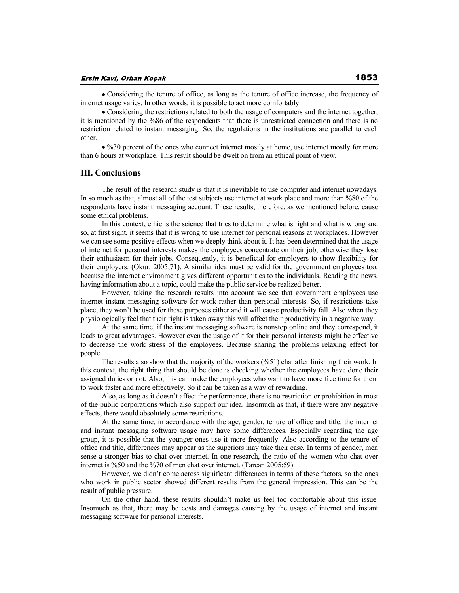Considering the tenure of office, as long as the tenure of office increase, the frequency of internet usage varies. In other words, it is possible to act more comfortably.

Considering the restrictions related to both the usage of computers and the internet together, it is mentioned by the %86 of the respondents that there is unrestricted connection and there is no restriction related to instant messaging. So, the regulations in the institutions are parallel to each other.

%30 percent of the ones who connect internet mostly at home, use internet mostly for more than 6 hours at workplace. This result should be dwelt on from an ethical point of view.

## **III. Conclusions**

The result of the research study is that it is inevitable to use computer and internet nowadays. In so much as that, almost all of the test subjects use internet at work place and more than %80 of the respondents have instant messaging account. These results, therefore, as we mentioned before, cause some ethical problems.

In this context, ethic is the science that tries to determine what is right and what is wrong and so, at first sight, it seems that it is wrong to use internet for personal reasons at workplaces. However we can see some positive effects when we deeply think about it. It has been determined that the usage of internet for personal interests makes the employees concentrate on their job, otherwise they lose their enthusiasm for their jobs. Consequently, it is beneficial for employers to show flexibility for their employers. (Okur, 2005;71). A similar idea must be valid for the government employees too, because the internet environment gives different opportunities to the individuals. Reading the news, having information about a topic, could make the public service be realized better.

However, taking the research results into account we see that government employees use internet instant messaging software for work rather than personal interests. So, if restrictions take place, they won't be used for these purposes either and it will cause productivity fall. Also when they physiologically feel that their right is taken away this will affect their productivity in a negative way.

At the same time, if the instant messaging software is nonstop online and they correspond, it leads to great advantages. However even the usage of it for their personal interests might be effective to decrease the work stress of the employees. Because sharing the problems relaxing effect for people.

The results also show that the majority of the workers (%51) chat after finishing their work. In this context, the right thing that should be done is checking whether the employees have done their assigned duties or not. Also, this can make the employees who want to have more free time for them to work faster and more effectively. So it can be taken as a way of rewarding.

Also, as long as it doesn't affect the performance, there is no restriction or prohibition in most of the public corporations which also support our idea. Insomuch as that, if there were any negative effects, there would absolutely some restrictions.

At the same time, in accordance with the age, gender, tenure of office and title, the internet and instant messaging software usage may have some differences. Especially regarding the age group, it is possible that the younger ones use it more frequently. Also according to the tenure of office and title, differences may appear as the superiors may take their ease. In terms of gender, men sense a stronger bias to chat over internet. In one research, the ratio of the women who chat over internet is %50 and the %70 of men chat over internet. (Tarcan 2005;59)

However, we didn't come across significant differences in terms of these factors, so the ones who work in public sector showed different results from the general impression. This can be the result of public pressure.

On the other hand, these results shouldn't make us feel too comfortable about this issue. Insomuch as that, there may be costs and damages causing by the usage of internet and instant messaging software for personal interests.